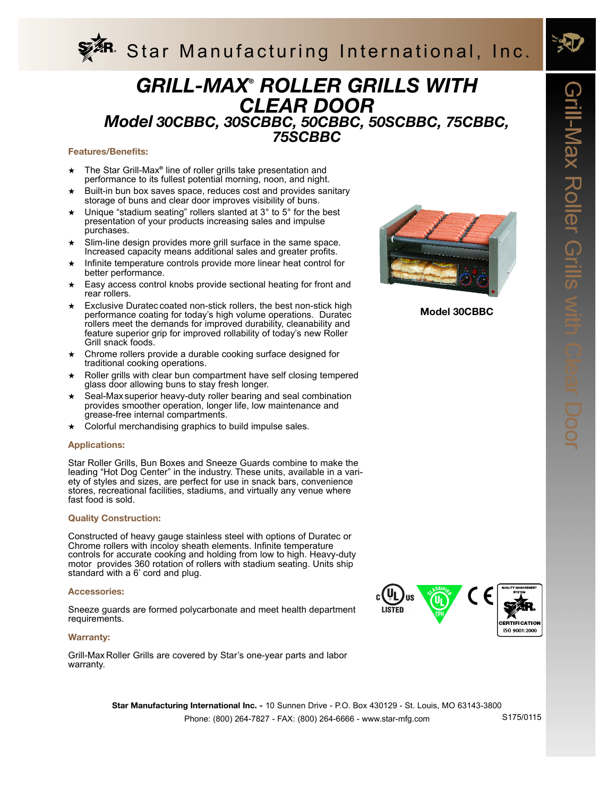

# *GRILL-MAX® ROLLER GRILLS WITH CLEAR DOOR Model 30CBBC, 30SCBBC, 50CBBC, 50SCBBC, 75CBBC, 75SCBBC*

# **Features/Benefits:**

- ★ The Star Grill-Max*®* line of roller grills take presentation and performance to its fullest potential morning, noon, and night.
- ★ Built-in bun box saves space, reduces cost and provides sanitary storage of buns and clear door improves visibility of buns.
- $\star$  Unique "stadium seating" rollers slanted at 3° to 5° for the best presentation of your products increasing sales and impulse purchases.
- Slim-line design provides more grill surface in the same space. Increased capacity means additional sales and greater profits.
- ★ Infinite temperature controls provide more linear heat control for better performance.
- ★ Easy access control knobs provide sectional heating for front and rear rollers.
- Exclusive Duratec coated non-stick rollers, the best non-stick high performance coating for today's high volume operations. Duratec rollers meet the demands for improved durability, cleanability and feature superior grip for improved rollability of today's new Roller Grill snack foods.
- Chrome rollers provide a durable cooking surface designed for traditional cooking operations.
- Roller grills with clear bun compartment have self closing tempered glass door allowing buns to stay fresh longer.
- Seal-Max superior heavy-duty roller bearing and seal combination provides smoother operation, longer life, low maintenance and grease-free internal compartments.
- Colorful merchandising graphics to build impulse sales.

# **Applications:**

Star Roller Grills, Bun Boxes and Sneeze Guards combine to make the leading "Hot Dog Center" in the industry. These units, available in a variety of styles and sizes, are perfect for use in snack bars, convenience stores, recreational facilities, stadiums, and virtually any venue where fast food is sold.

# **Quality Construction:**

Constructed of heavy gauge stainless steel with options of Duratec or Chrome rollers with incoloy sheath elements. Infinite temperature controls for accurate cooking and holding from low to high. Heavy-duty motor provides 360 rotation of rollers with stadium seating. Units ship standard with a 6' cord and plug.

#### **Accessories:**

Sneeze guards are formed polycarbonate and meet health department requirements.

#### **Warranty:**

Grill-Max Roller Grills are covered by Star's one-year parts and labor warranty.



**Model 30CBBC** 



Phone: (800) 264-7827 - FAX: (800) 264-6666 - www.star-mfg.com **Star Manufacturing International Inc. -** 10 Sunnen Drive - P.O. Box 430129 - St. Louis, MO 63143-3800